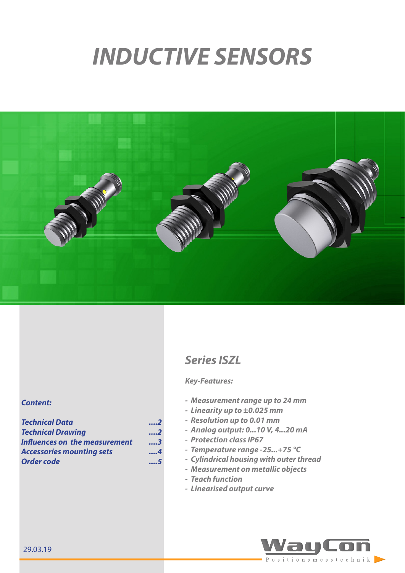# *INDUCTIVE SENSORS*



## *Series ISZL*

### *Key-Features:*

- *- Measurement range up to 24 mm*
- *- Linearity up to ±0.025 mm*
- *- Resolution up to 0.01 mm*
- *- Analog output: 0...10 V, 4...20 mA*
- *- Protection class IP67*
- *- Temperature range -25...+75 °C*
- *- Cylindrical housing with outer thread*
- *- Measurement on metallic objects*
- *- Teach function*
- *- Linearised output curve*



#### *Content:*

*[Technical Data ....2](#page-1-0)* **Technical Drawing** *[Influences on the measurement](#page-2-0) ....3 [Accessories mounting sets](#page-3-0) ....4 [Order code](#page-4-0) ....5*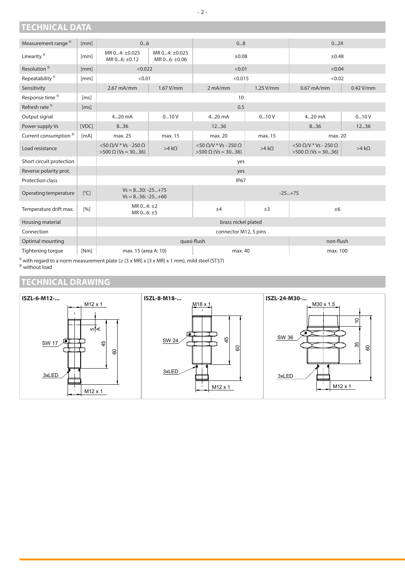## <span id="page-1-0"></span>**TECHNICAL DATA**

| Measurement range <sup>1)</sup>   | [mm]                    | 06                                                                    |                                    | 08                                                                    |                 | 024                                                                   |              |
|-----------------------------------|-------------------------|-----------------------------------------------------------------------|------------------------------------|-----------------------------------------------------------------------|-----------------|-----------------------------------------------------------------------|--------------|
| Linearity <sup>1)</sup>           | [mm]                    | MR $04: \pm 0.025$<br>MR 06: ±0.12                                    | MR $04: \pm 0.025$<br>MR 06: ±0.06 | $\pm 0.08$                                                            |                 | ±0.48                                                                 |              |
| Resolution <sup>1)</sup>          | [mm]                    | < 0.022                                                               |                                    | < 0.01                                                                |                 | < 0.04                                                                |              |
| Repeatability <sup>1)</sup>       | [mm]                    | < 0.01                                                                |                                    | < 0.015                                                               |                 | < 0.02                                                                |              |
| Sensitivity                       |                         | $2.67 \text{ mA/mm}$                                                  | $1.67$ V/mm                        | $2 \text{ mA/mm}$                                                     | $1.25$ V/mm     | $0.67 \text{ mA/mm}$                                                  | $0.42$ V/mm  |
| Response time <sup>1)</sup>       | [ms]                    | 10                                                                    |                                    |                                                                       |                 |                                                                       |              |
| Refresh rate <sup>1)</sup>        | [ms]                    | 0.5                                                                   |                                    |                                                                       |                 |                                                                       |              |
| Output signal                     |                         | 420 mA                                                                | 010V                               | 420 mA                                                                | 010V            | 420 mA                                                                | 010V         |
| Power supply Vs                   | [VDC]                   | 836                                                                   |                                    | 12.36                                                                 |                 | 836                                                                   | 1236         |
| Current consumption <sup>2)</sup> | [mA]                    | max. 25                                                               | max. 15                            | max. 20                                                               | max. 15         | max. 20                                                               |              |
| Load resistance                   |                         | $<$ 50 $\Omega$ /V $*$ Vs - 250 $\Omega$<br>$>500 \Omega$ (Vs = 3036) | $>4 k\Omega$                       | $<$ 50 $\Omega$ /V $*$ Vs - 250 $\Omega$<br>$>500 \Omega$ (Vs = 3036) | $>4$ k $\Omega$ | $<$ 50 $\Omega$ /V $*$ Vs - 250 $\Omega$<br>$>500 \Omega$ (Vs = 3036) | $>4 k\Omega$ |
| Short circuit protection          |                         |                                                                       |                                    | yes                                                                   |                 |                                                                       |              |
| Reverse polarity prot.            |                         |                                                                       |                                    | yes                                                                   |                 |                                                                       |              |
| Protection class                  |                         |                                                                       |                                    | <b>IP67</b>                                                           |                 |                                                                       |              |
| Operating temperature             | $\lceil^{\circ}C\rceil$ | $Vs = 830: -25+75$<br>$-25+75$<br>$Vs = 836: -25+60$                  |                                    |                                                                       |                 |                                                                       |              |
| Temperature drift max.            | [%]                     | MR $04:±2$<br>MR 06: ±5                                               |                                    | $+4$                                                                  | $\pm 3$         | ±6                                                                    |              |
| Housing material                  |                         | brass nickel plated                                                   |                                    |                                                                       |                 |                                                                       |              |
| Connection                        |                         | connector M12, 5 pins                                                 |                                    |                                                                       |                 |                                                                       |              |
| Optimal mounting                  |                         |                                                                       | quasi-flush                        |                                                                       |                 | non-flush                                                             |              |
| Tightening torque                 | [Nm]                    | max. 15 (area A: 10)                                                  |                                    | max. 40                                                               |                 | max. 100                                                              |              |

 $^{\text{\tiny 1)}}$  with regard to a norm measurement plate (≥ [3 x MR] x [3 x MR] x 1 mm), mild steel (ST37) <sup>2)</sup> without load

## **TECHNICAL DRAWING**

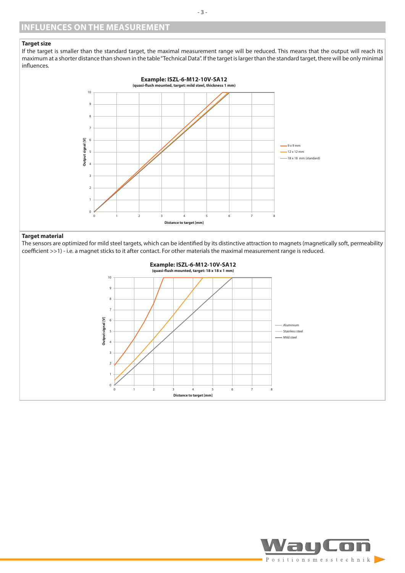#### <span id="page-2-0"></span>**Target size**

If the target is smaller than the standard target, the maximal measurement range will be reduced. This means that the output will reach its maximum at a shorter distance than shown in the table "Technical Data". If the target is larger than the standard target, there will be only minimal influences.



#### **Target material**

The sensors are optimized for mild steel targets, which can be identified by its distinctive attraction to magnets (magnetically soft, permeability coefficient >>1) - i.e. a magnet sticks to it after contact. For other materials the maximal measurement range is reduced.



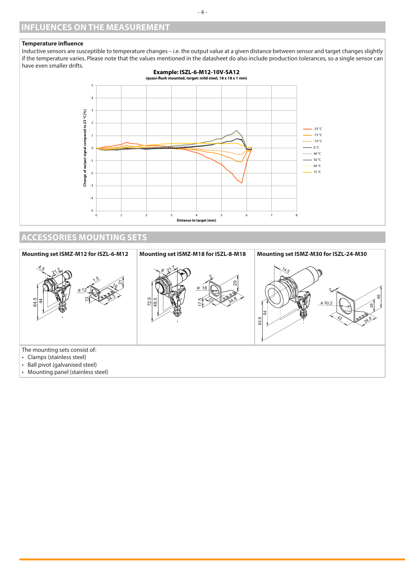#### <span id="page-3-0"></span>**Temperature influence**

Inductive sensors are susceptible to temperature changes – i.e. the output value at a given distance between sensor and target changes slightly if the temperature varies. Please note that the values mentioned in the datasheet do also include production tolerances, so a single sensor can have even smaller drifts.



## **ACCESSORIES MOUNTING SETS**



• Mounting panel (stainless steel)